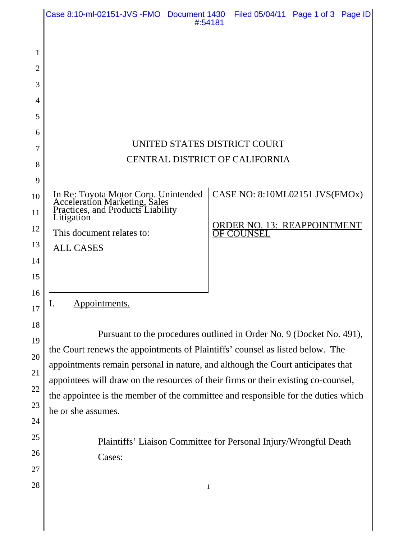|                                                    | Case 8:10-ml-02151-JVS - FMO Document 1430                                                                                                                                                                                                                                                                                                                                                                                                 | #:54181 | Filed 05/04/11 Page 1 of 3 Page ID                                                        |  |  |
|----------------------------------------------------|--------------------------------------------------------------------------------------------------------------------------------------------------------------------------------------------------------------------------------------------------------------------------------------------------------------------------------------------------------------------------------------------------------------------------------------------|---------|-------------------------------------------------------------------------------------------|--|--|
| 1<br>2<br>3<br>4<br>5<br>6<br>7<br>8               | UNITED STATES DISTRICT COURT<br>CENTRAL DISTRICT OF CALIFORNIA                                                                                                                                                                                                                                                                                                                                                                             |         |                                                                                           |  |  |
| 9<br>10<br>11<br>12<br>13<br>14                    | In Re: Toyota Motor Corp. Unintended<br>Acceleration Marketing, Sales<br>Practices, and Products Liability<br>Litigation<br>This document relates to:<br><b>ALL CASES</b>                                                                                                                                                                                                                                                                  |         | CASE NO: 8:10ML02151 JVS(FMOx)<br><b>ORDER NO. 13: REAPPOINTMENT</b><br><b>OF COUNSEL</b> |  |  |
| 15<br>16<br>17<br>18<br>19<br>20<br>21<br>22<br>23 | Appointments.<br>ı.<br>Pursuant to the procedures outlined in Order No. 9 (Docket No. 491),<br>the Court renews the appointments of Plaintiffs' counsel as listed below. The<br>appointments remain personal in nature, and although the Court anticipates that<br>appointees will draw on the resources of their firms or their existing co-counsel,<br>the appointee is the member of the committee and responsible for the duties which |         |                                                                                           |  |  |
| 24<br>25<br>26<br>27<br>28                         | he or she assumes.<br>Plaintiffs' Liaison Committee for Personal Injury/Wrongful Death<br>Cases:                                                                                                                                                                                                                                                                                                                                           | 1       |                                                                                           |  |  |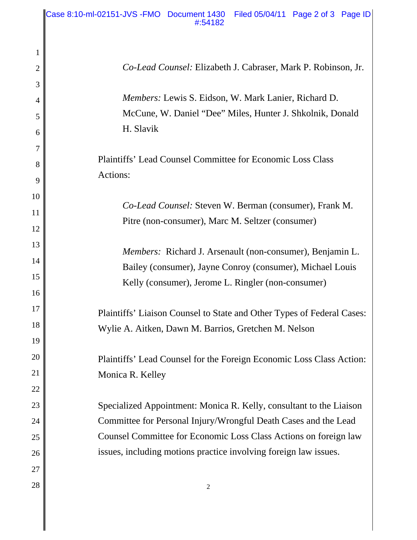| 1  |                                                                        |
|----|------------------------------------------------------------------------|
| 2  | Co-Lead Counsel: Elizabeth J. Cabraser, Mark P. Robinson, Jr.          |
| 3  |                                                                        |
| 4  | Members: Lewis S. Eidson, W. Mark Lanier, Richard D.                   |
| 5  | McCune, W. Daniel "Dee" Miles, Hunter J. Shkolnik, Donald              |
| 6  | H. Slavik                                                              |
| 7  |                                                                        |
| 8  | <b>Plaintiffs' Lead Counsel Committee for Economic Loss Class</b>      |
| 9  | Actions:                                                               |
| 10 |                                                                        |
| 11 | <i>Co-Lead Counsel:</i> Steven W. Berman (consumer), Frank M.          |
| 12 | Pitre (non-consumer), Marc M. Seltzer (consumer)                       |
| 13 | Members: Richard J. Arsenault (non-consumer), Benjamin L.              |
| 14 | Bailey (consumer), Jayne Conroy (consumer), Michael Louis              |
| 15 | Kelly (consumer), Jerome L. Ringler (non-consumer)                     |
| 16 |                                                                        |
| 17 | Plaintiffs' Liaison Counsel to State and Other Types of Federal Cases: |
| 18 | Wylie A. Aitken, Dawn M. Barrios, Gretchen M. Nelson                   |
| 19 |                                                                        |
| 20 | Plaintiffs' Lead Counsel for the Foreign Economic Loss Class Action:   |
| 21 | Monica R. Kelley                                                       |
| 22 |                                                                        |
| 23 | Specialized Appointment: Monica R. Kelly, consultant to the Liaison    |
| 24 | Committee for Personal Injury/Wrongful Death Cases and the Lead        |
| 25 | Counsel Committee for Economic Loss Class Actions on foreign law       |
| 26 | issues, including motions practice involving foreign law issues.       |
| 27 |                                                                        |
| 28 | $\sqrt{2}$                                                             |